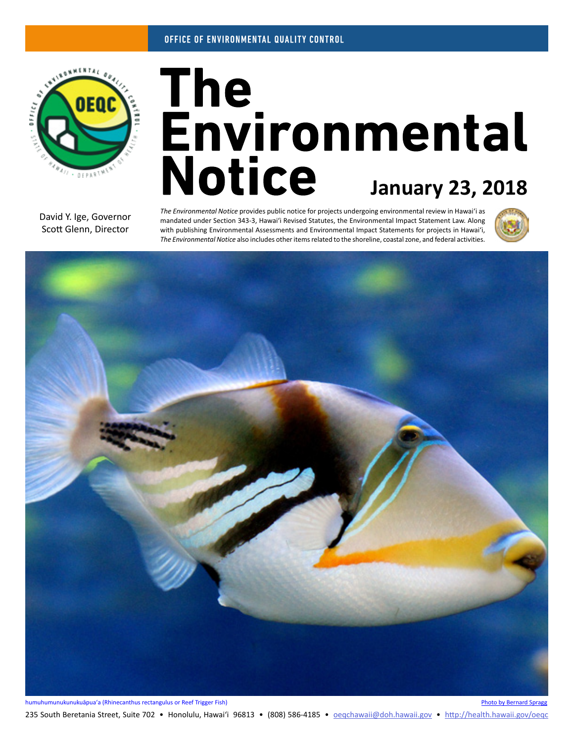

# The<br>Environmental **Notice January 23, 2018**

David Y. Ige, Governor Scott Glenn, Director

*The Environmental Notice* provides public notice for projects undergoing environmental review in Hawaiʻi as mandated under Section 343-3, Hawaiʻi Revised Statutes, the Environmental Impact Statement Law. Along with publishing Environmental Assessments and Environmental Impact Statements for projects in Hawaiʻi, *The Environmental Notice* also includes other items related to the shoreline, coastal zone, and federal activities.





235 South Beretania Street, Suite 702 • Honolulu, Hawai'i 96813 • (808) 586-4185 • <u>oeqchawaii@doh.hawaii.gov</u> • <http://health.hawaii.gov/oeqc>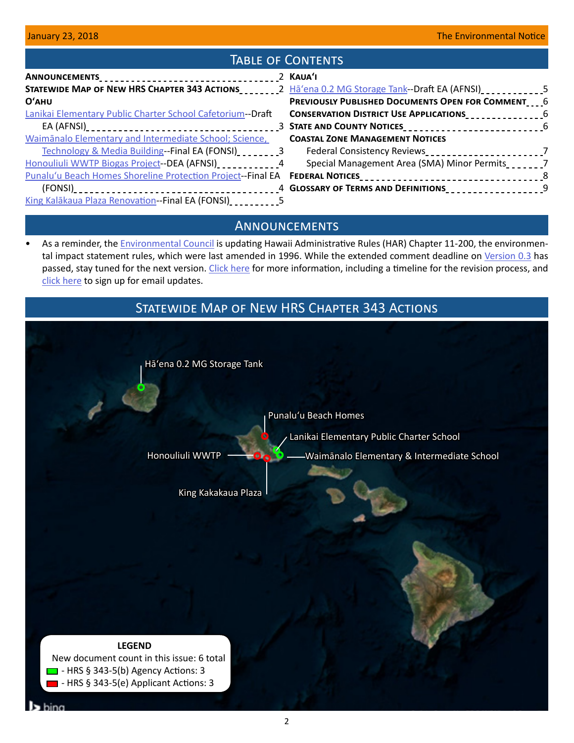# TABLE OF CONTENTS

|                                                                                                                    | 2 KAUA'I                                                                                        |  |
|--------------------------------------------------------------------------------------------------------------------|-------------------------------------------------------------------------------------------------|--|
| STATEWIDE MAP OF NEW HRS CHAPTER 343 ACTIONS__________2 Ha'ena 0.2 MG Storage Tank--Draft EA (AFNSI)_____________5 |                                                                                                 |  |
| O'AHU                                                                                                              | PREVIOUSLY PUBLISHED DOCUMENTS OPEN FOR COMMENT___6                                             |  |
| Lanikai Elementary Public Charter School Cafetorium--Draft                                                         | <b>CONSERVATION DISTRICT USE APPLICATIONS</b>                                                   |  |
|                                                                                                                    |                                                                                                 |  |
| Waimānalo Elementary and Intermediate School; Science,                                                             | <b>COASTAL ZONE MANAGEMENT NOTICES</b>                                                          |  |
|                                                                                                                    | Technology & Media Building--Final EA (FONSI) 2020223 Federal Consistency Reviews 2020201000227 |  |
| Honouliuli WWTP Biogas Project--DEA (AFNSI)                                                                        | Special Management Area (SMA) Minor Permits                                                     |  |
| Punalu'u Beach Homes Shoreline Protection Project--Final EA FEDERAL NOTICES__________________________________8     |                                                                                                 |  |
|                                                                                                                    |                                                                                                 |  |
| King Kalākaua Plaza Renovation--Final EA (FONSI)                                                                   |                                                                                                 |  |

## **ANNOUNCEMENTS**

• As a reminder, the **Environmental Council is updating Hawaii Administrative Rules (HAR) Chapter 11-200**, the environmen-tal impact statement rules, which were last amended in 1996. While the extended comment deadline on [Version 0.3](https://oeqc.civicomment.org/version-03-har-11-200a) has passed, stay tuned for the next version. [Click here](http://health.hawaii.gov/oeqc/rules-update/) for more information, including a timeline for the revision process, and [click here](http://hawaii.us4.list-manage.com/subscribe/post?u=9767098a92149e9396bdccffd&id=522d25331f) to sign up for email updates.

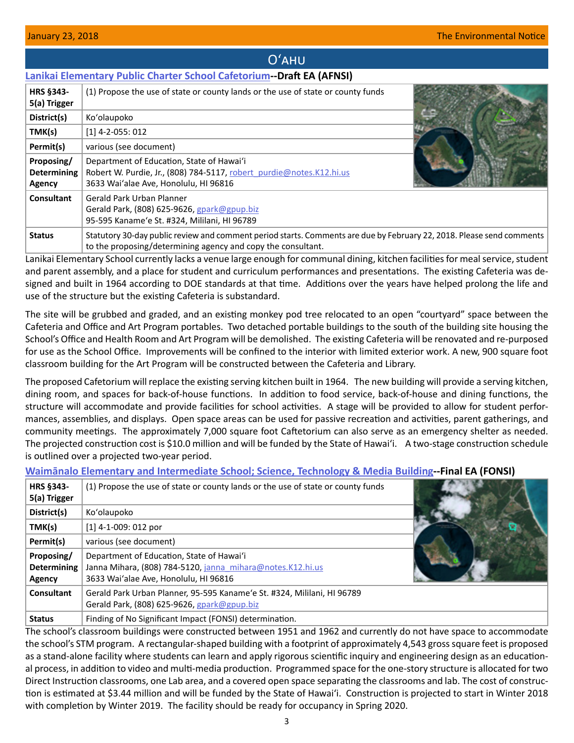<span id="page-2-0"></span>

|                                            | O'AHU                                                                                                                                                      |  |
|--------------------------------------------|------------------------------------------------------------------------------------------------------------------------------------------------------------|--|
|                                            | <b>Lanikai Elementary Public Charter School Cafetorium - Draft EA (AFNSI)</b>                                                                              |  |
| <b>HRS §343-</b><br>5(a) Trigger           | (1) Propose the use of state or county lands or the use of state or county funds                                                                           |  |
| District(s)                                | Ko'olaupoko                                                                                                                                                |  |
| TMK(s)                                     | $[1]$ 4-2-055: 012                                                                                                                                         |  |
| Permit(s)                                  | various (see document)                                                                                                                                     |  |
| Proposing/<br><b>Determining</b><br>Agency | Department of Education, State of Hawai'i<br>Robert W. Purdie, Jr., (808) 784-5117, robert purdie@notes.K12.hi.us<br>3633 Wai'alae Ave, Honolulu, HI 96816 |  |
| Consultant                                 | Gerald Park Urban Planner<br>Gerald Park, (808) 625-9626, gpark@gpup.biz<br>95-595 Kaname'e St. #324, Mililani, HI 96789                                   |  |
| <b>Status</b>                              | Statutory 30-day public review and comment period starts. Comments are due by February 22, 2018. Please send comments                                      |  |

Lanikai Elementary School currently lacks a venue large enough for communal dining, kitchen facilities for meal service, student and parent assembly, and a place for student and curriculum performances and presentations. The existing Cafeteria was designed and built in 1964 according to DOE standards at that time. Additions over the years have helped prolong the life and use of the structure but the existing Cafeteria is substandard.

to the proposing/determining agency and copy the consultant.

The site will be grubbed and graded, and an existing monkey pod tree relocated to an open "courtyard" space between the Cafeteria and Office and Art Program portables. Two detached portable buildings to the south of the building site housing the School's Office and Health Room and Art Program will be demolished. The existing Cafeteria will be renovated and re-purposed for use as the School Office. Improvements will be confined to the interior with limited exterior work. A new, 900 square foot classroom building for the Art Program will be constructed between the Cafeteria and Library.

The proposed Cafetorium will replace the existing serving kitchen built in 1964. The new building will provide a serving kitchen, dining room, and spaces for back-of-house functions. In addition to food service, back-of-house and dining functions, the structure will accommodate and provide facilities for school activities. A stage will be provided to allow for student performances, assemblies, and displays. Open space areas can be used for passive recreation and activities, parent gatherings, and community meetings. The approximately 7,000 square foot Caftetorium can also serve as an emergency shelter as needed. The projected construction cost is \$10.0 million and will be funded by the State of Hawai'i. A two-stage construction schedule is outlined over a projected two-year period.

## **Waim[ānalo Elementary and Intermediate School; Science, Technology & Media Building](http://oeqc2.doh.hawaii.gov/EA_EIS_Library/2018-01-23-OA-FEA-Waimanalo-Elem-and-Int-School-STM-Building.pdf)--Final EA (FONSI)**

| <b>HRS §343-</b><br>5(a) Trigger           | (1) Propose the use of state or county lands or the use of state or county funds                                                                 |  |
|--------------------------------------------|--------------------------------------------------------------------------------------------------------------------------------------------------|--|
| District(s)                                | Ko'olaupoko                                                                                                                                      |  |
| TMK(s)                                     | $[1]$ 4-1-009: 012 por                                                                                                                           |  |
| Permit(s)                                  | various (see document)                                                                                                                           |  |
| Proposing/<br><b>Determining</b><br>Agency | Department of Education, State of Hawai'i<br>Janna Mihara, (808) 784-5120, janna mihara@notes.K12.hi.us<br>3633 Wai'alae Ave, Honolulu, HI 96816 |  |
| Consultant                                 | Gerald Park Urban Planner, 95-595 Kaname'e St. #324, Mililani, HI 96789<br>Gerald Park, (808) 625-9626, gpark@gpup.biz                           |  |
| <b>Status</b>                              | Finding of No Significant Impact (FONSI) determination.                                                                                          |  |

The school's classroom buildings were constructed between 1951 and 1962 and currently do not have space to accommodate the school's STM program. A rectangular-shaped building with a footprint of approximately 4,543 gross square feet is proposed as a stand-alone facility where students can learn and apply rigorous scientific inquiry and engineering design as an educational process, in addition to video and multi-media production. Programmed space for the one-story structure is allocated for two Direct Instruction classrooms, one Lab area, and a covered open space separating the classrooms and lab. The cost of construction is estimated at \$3.44 million and will be funded by the State of Hawai'i. Construction is projected to start in Winter 2018 with completion by Winter 2019. The facility should be ready for occupancy in Spring 2020.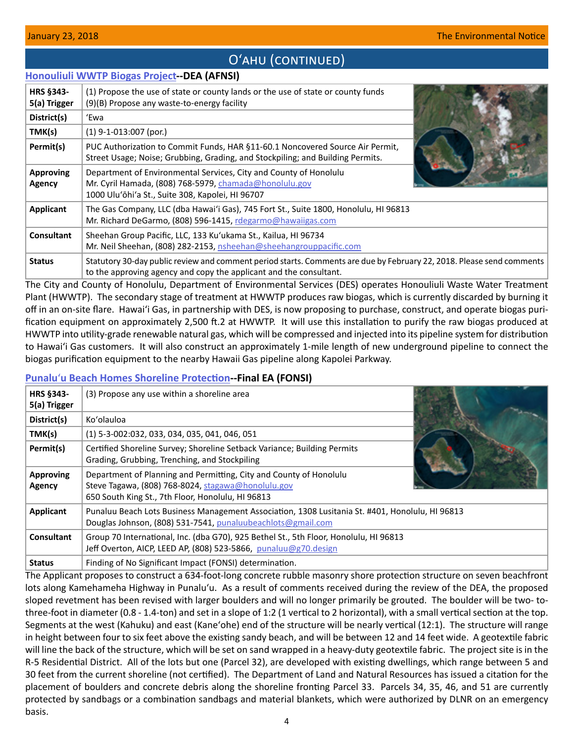# O'AHU (CONTINUED)

## <span id="page-3-0"></span>**[Honouliuli WWTP Biogas Project](http://oeqc2.doh.hawaii.gov/EA_EIS_Library/2018-01-23-OA-DEA-Honouliuli-WWTP-Biogas-Project.pdf)--DEA (AFNSI)**

| <b>HRS §343-</b><br>5(a) Trigger | (1) Propose the use of state or county lands or the use of state or county funds<br>(9)(B) Propose any waste-to-energy facility                                                             |  |
|----------------------------------|---------------------------------------------------------------------------------------------------------------------------------------------------------------------------------------------|--|
| District(s)                      | 'Ewa                                                                                                                                                                                        |  |
| TMK(s)                           | $(1)$ 9-1-013:007 (por.)                                                                                                                                                                    |  |
| Permit(s)                        | PUC Authorization to Commit Funds, HAR §11-60.1 Noncovered Source Air Permit,<br>Street Usage; Noise; Grubbing, Grading, and Stockpiling; and Building Permits.                             |  |
| <b>Approving</b><br>Agency       | Department of Environmental Services, City and County of Honolulu<br>Mr. Cyril Hamada, (808) 768-5979, chamada@honolulu.gov<br>1000 Ulu'ōhi'a St., Suite 308, Kapolei, HI 96707             |  |
| Applicant                        | The Gas Company, LLC (dba Hawai'i Gas), 745 Fort St., Suite 1800, Honolulu, HI 96813<br>Mr. Richard DeGarmo, (808) 596-1415, rdegarmo@hawaiigas.com                                         |  |
| Consultant                       | Sheehan Group Pacific, LLC, 133 Ku'ukama St., Kailua, HI 96734<br>Mr. Neil Sheehan, (808) 282-2153, nsheehan@sheehangrouppacific.com                                                        |  |
| <b>Status</b>                    | Statutory 30-day public review and comment period starts. Comments are due by February 22, 2018. Please send comments<br>to the approving agency and copy the applicant and the consultant. |  |

The City and County of Honolulu, Department of Environmental Services (DES) operates Honouliuli Waste Water Treatment Plant (HWWTP). The secondary stage of treatment at HWWTP produces raw biogas, which is currently discarded by burning it off in an on-site flare. Hawaiʻi Gas, in partnership with DES, is now proposing to purchase, construct, and operate biogas purification equipment on approximately 2,500 ft.2 at HWWTP. It will use this installation to purify the raw biogas produced at HWWTP into utility-grade renewable natural gas, which will be compressed and injected into its pipeline system for distribution to Hawaiʻi Gas customers. It will also construct an approximately 1-mile length of new underground pipeline to connect the biogas purification equipment to the nearby Hawaii Gas pipeline along Kapolei Parkway.

## **Punalu**ʻ**[u Beach Homes Shoreline Protection-](http://oeqc2.doh.hawaii.gov/EA_EIS_Library/2018-01-23-OA-FEA-Punaluu-Beach-Homes-Shoreline-Protection.pdf)-Final EA (FONSI)**

| HRS §343-<br>5(a) Trigger  | (3) Propose any use within a shoreline area                                                                                                                                   |  |
|----------------------------|-------------------------------------------------------------------------------------------------------------------------------------------------------------------------------|--|
| District(s)                | Ko'olauloa                                                                                                                                                                    |  |
| TMK(s)                     | (1) 5-3-002:032, 033, 034, 035, 041, 046, 051                                                                                                                                 |  |
| Permit(s)                  | Certified Shoreline Survey; Shoreline Setback Variance; Building Permits<br>Grading, Grubbing, Trenching, and Stockpiling                                                     |  |
| <b>Approving</b><br>Agency | Department of Planning and Permitting, City and County of Honolulu<br>Steve Tagawa, (808) 768-8024, stagawa@honolulu.gov<br>650 South King St., 7th Floor, Honolulu, HI 96813 |  |
| <b>Applicant</b>           | Punaluu Beach Lots Business Management Association, 1308 Lusitania St. #401, Honolulu, HI 96813<br>Douglas Johnson, (808) 531-7541, punaluubeachlots@gmail.com                |  |
| Consultant                 | Group 70 International, Inc. (dba G70), 925 Bethel St., 5th Floor, Honolulu, HI 96813<br>Jeff Overton, AICP, LEED AP, (808) 523-5866, punaluu@g70.design                      |  |
| <b>Status</b>              | Finding of No Significant Impact (FONSI) determination.                                                                                                                       |  |

The Applicant proposes to construct a 634-foot-long concrete rubble masonry shore protection structure on seven beachfront lots along Kamehameha Highway in Punaluʻu. As a result of comments received during the review of the DEA, the proposed sloped revetment has been revised with larger boulders and will no longer primarily be grouted. The boulder will be two- tothree-foot in diameter (0.8 - 1.4-ton) and set in a slope of 1:2 (1 vertical to 2 horizontal), with a small vertical section at the top. Segments at the west (Kahuku) and east (Kaneʻohe) end of the structure will be nearly vertical (12:1). The structure will range in height between four to six feet above the existing sandy beach, and will be between 12 and 14 feet wide. A geotextile fabric will line the back of the structure, which will be set on sand wrapped in a heavy-duty geotextile fabric. The project site is in the R-5 Residential District. All of the lots but one (Parcel 32), are developed with existing dwellings, which range between 5 and 30 feet from the current shoreline (not certified). The Department of Land and Natural Resources has issued a citation for the placement of boulders and concrete debris along the shoreline fronting Parcel 33. Parcels 34, 35, 46, and 51 are currently protected by sandbags or a combination sandbags and material blankets, which were authorized by DLNR on an emergency basis.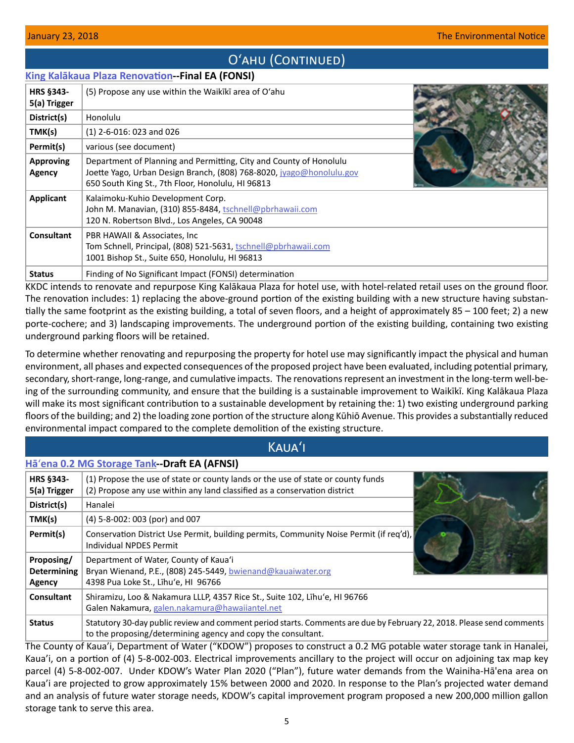# O'AHU (CONTINUED)

## <span id="page-4-0"></span>**[King Kalākaua Plaza Renovation](http://oeqc2.doh.hawaii.gov/EA_EIS_Library/2018-01-23-OA-FEA-King-Kalakaua-Plaza-Renovation.pdf)--Final EA (FONSI)**

| <b>HRS §343-</b><br>5(a) Trigger | (5) Propose any use within the Waikiki area of O'ahu                                                                                                                                            |  |
|----------------------------------|-------------------------------------------------------------------------------------------------------------------------------------------------------------------------------------------------|--|
| District(s)                      | Honolulu                                                                                                                                                                                        |  |
| TMK(s)                           | $(1)$ 2-6-016: 023 and 026                                                                                                                                                                      |  |
| Permit(s)                        | various (see document)                                                                                                                                                                          |  |
| <b>Approving</b><br>Agency       | Department of Planning and Permitting, City and County of Honolulu<br>Joette Yago, Urban Design Branch, (808) 768-8020, jyago@honolulu.gov<br>650 South King St., 7th Floor, Honolulu, HI 96813 |  |
| Applicant                        | Kalaimoku-Kuhio Development Corp.<br>John M. Manavian, (310) 855-8484, tschnell@pbrhawaii.com<br>120 N. Robertson Blvd., Los Angeles, CA 90048                                                  |  |
| <b>Consultant</b>                | PBR HAWAII & Associates, Inc.<br>Tom Schnell, Principal, (808) 521-5631, tschnell@pbrhawaii.com<br>1001 Bishop St., Suite 650, Honolulu, HI 96813                                               |  |
| <b>Status</b>                    | Finding of No Significant Impact (FONSI) determination                                                                                                                                          |  |

KKDC intends to renovate and repurpose King Kalākaua Plaza for hotel use, with hotel-related retail uses on the ground floor. The renovation includes: 1) replacing the above-ground portion of the existing building with a new structure having substantially the same footprint as the existing building, a total of seven floors, and a height of approximately 85 – 100 feet; 2) a new porte-cochere; and 3) landscaping improvements. The underground portion of the existing building, containing two existing underground parking floors will be retained.

To determine whether renovating and repurposing the property for hotel use may significantly impact the physical and human environment, all phases and expected consequences of the proposed project have been evaluated, including potential primary, secondary, short-range, long-range, and cumulative impacts. The renovations represent an investment in the long-term well-being of the surrounding community, and ensure that the building is a sustainable improvement to Waikīkī. King Kalākaua Plaza will make its most significant contribution to a sustainable development by retaining the: 1) two existing underground parking floors of the building; and 2) the loading zone portion of the structure along Kūhiō Avenue. This provides a substantially reduced environmental impact compared to the complete demolition of the existing structure.

| <b>KAUA'I</b>                              |                                                                                                                                                                                       |  |  |  |
|--------------------------------------------|---------------------------------------------------------------------------------------------------------------------------------------------------------------------------------------|--|--|--|
|                                            | Hā'ena 0.2 MG Storage Tank--Draft EA (AFNSI)                                                                                                                                          |  |  |  |
| <b>HRS §343-</b><br>5(a) Trigger           | (1) Propose the use of state or county lands or the use of state or county funds<br>(2) Propose any use within any land classified as a conservation district                         |  |  |  |
| District(s)                                | Hanalei                                                                                                                                                                               |  |  |  |
| TMK(s)                                     | (4) 5-8-002: 003 (por) and 007                                                                                                                                                        |  |  |  |
| Permit(s)                                  | Conservation District Use Permit, building permits, Community Noise Permit (if req'd),<br>Individual NPDES Permit                                                                     |  |  |  |
| Proposing/<br><b>Determining</b><br>Agency | Department of Water, County of Kaua'i<br>Bryan Wienand, P.E., (808) 245-5449, bwienand@kauaiwater.org<br>4398 Pua Loke St., Lihu'e, HI 96766                                          |  |  |  |
| <b>Consultant</b>                          | Shiramizu, Loo & Nakamura LLLP, 4357 Rice St., Suite 102, Līhu'e, HI 96766<br>Galen Nakamura, galen.nakamura@hawaiiantel.net                                                          |  |  |  |
| <b>Status</b>                              | Statutory 30-day public review and comment period starts. Comments are due by February 22, 2018. Please send comments<br>to the proposing/determining agency and copy the consultant. |  |  |  |

The County of Kaua'i, Department of Water ("KDOW") proposes to construct a 0.2 MG potable water storage tank in Hanalei, Kaua'i, on a portion of (4) 5-8-002-003. Electrical improvements ancillary to the project will occur on adjoining tax map key parcel (4) 5-8-002-007. Under KDOW's Water Plan 2020 ("Plan"), future water demands from the Wainiha-Hā'ena area on Kaua'i are projected to grow approximately 15% between 2000 and 2020. In response to the Plan's projected water demand and an analysis of future water storage needs, KDOW's capital improvement program proposed a new 200,000 million gallon storage tank to serve this area.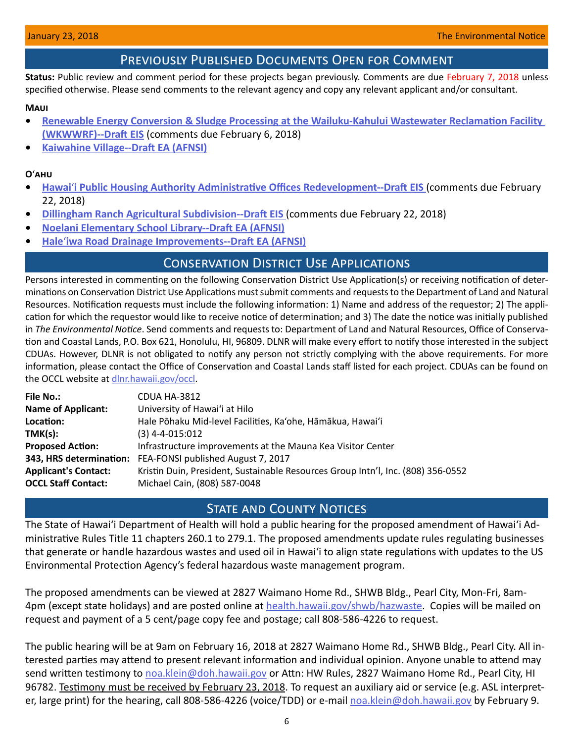## Previously Published Documents Open for Comment

<span id="page-5-0"></span>**Status:** Public review and comment period for these projects began previously. Comments are due February 7, 2018 unless specified otherwise. Please send comments to the relevant agency and copy any relevant applicant and/or consultant.

### **Maui**

- **• [Renewable Energy Conversion & Sludge Processing at the Wailuku-Kahului Wastewater Reclamation Facility](http://oeqc2.doh.hawaii.gov/EA_EIS_Library/2017-12-23-MA-DEIS-Renewable-Energy-Conversion-and-Sludge-Processing-at-the-Wailuku-Kahului-Wastewater-Reclamation-Facility.pdf)  [\(WKWWRF\)--Draft EIS](http://oeqc2.doh.hawaii.gov/EA_EIS_Library/2017-12-23-MA-DEIS-Renewable-Energy-Conversion-and-Sludge-Processing-at-the-Wailuku-Kahului-Wastewater-Reclamation-Facility.pdf)** (comments due February 6, 2018)
- **• [Kaiwahine Village--Draft EA \(AFNSI\)](http://oeqc2.doh.hawaii.gov/EA_EIS_Library/2018-01-08-MA-DEA-Kaiwahine-Village.pdf)**

## **O**ʻ**ahu**

- **• Hawai**ʻ**[i Public Housing Authority Administrative Offices Redevelopment--Draft EIS](http://oeqc2.doh.hawaii.gov/EA_EIS_Library/2018-01-08-OA-DEIS-Hawaii-Public-Housing-Authority-Administrative-Offices-Redevelopment.pdf)** (comments due February 22, 2018)
- **• [Dillingham Ranch Agricultural Subdivision--Draft EIS](http://oeqc2.doh.hawaii.gov/EA_EIS_Library/2018-01-08-OA-DEIS-Dillingham-Ranch-Agricultural-Subdivision.pdf)** (comments due February 22, 2018)
- **• [Noelani Elementary School Library--Draft EA \(AFNSI\)](http://oeqc2.doh.hawaii.gov/EA_EIS_Library/2018-01-08-OA-DEA-Noelani-Elementary-School-Library.pdf)**
- **• Hale**ʻ**[iwa Road Drainage Improvements--Draft EA \(AFNSI\)](http://oeqc2.doh.hawaii.gov/EA_EIS_Library/2018-01-08-OA-DEA-Haleiwa-Road-Drainage-Improvements.pdf)**

## Conservation District Use Applications

Persons interested in commenting on the following Conservation District Use Application(s) or receiving notification of determinations on Conservation District Use Applications must submit comments and requests to the Department of Land and Natural Resources. Notification requests must include the following information: 1) Name and address of the requestor; 2) The application for which the requestor would like to receive notice of determination; and 3) The date the notice was initially published in *The Environmental Notice*. Send comments and requests to: Department of Land and Natural Resources, Office of Conservation and Coastal Lands, P.O. Box 621, Honolulu, HI, 96809. DLNR will make every effort to notify those interested in the subject CDUAs. However, DLNR is not obligated to notify any person not strictly complying with the above requirements. For more information, please contact the Office of Conservation and Coastal Lands staff listed for each project. CDUAs can be found on the OCCL website at [dlnr.hawaii.gov/occl](http://dlnr.hawaii.gov/occl).

| <b>File No.:</b>            | CDUA HA-3812                                                                     |
|-----------------------------|----------------------------------------------------------------------------------|
| <b>Name of Applicant:</b>   | University of Hawai'i at Hilo                                                    |
| Location:                   | Hale Pōhaku Mid-level Facilities, Ka'ohe, Hāmākua, Hawai'i                       |
| TMK(s):                     | $(3)$ 4-4-015:012                                                                |
| <b>Proposed Action:</b>     | Infrastructure improvements at the Mauna Kea Visitor Center                      |
| 343, HRS determination:     | FEA-FONSI published August 7, 2017                                               |
| <b>Applicant's Contact:</b> | Kristin Duin, President, Sustainable Resources Group Intn'l, Inc. (808) 356-0552 |
| <b>OCCL Staff Contact:</b>  | Michael Cain, (808) 587-0048                                                     |
|                             |                                                                                  |

## **STATE AND COUNTY NOTICES**

The State of Hawaiʻi Department of Health will hold a public hearing for the proposed amendment of Hawaiʻi Administrative Rules Title 11 chapters 260.1 to 279.1. The proposed amendments update rules regulating businesses that generate or handle hazardous wastes and used oil in Hawaiʻi to align state regulations with updates to the US Environmental Protection Agency's federal hazardous waste management program.

The proposed amendments can be viewed at 2827 Waimano Home Rd., SHWB Bldg., Pearl City, Mon-Fri, 8am4pm (except state holidays) and are posted online at [health.hawaii.gov/shwb/hazwaste](http://health.hawaii.gov/shwb/hazwaste). Copies will be mailed on request and payment of a 5 cent/page copy fee and postage; call 808-586-4226 to request.

The public hearing will be at 9am on February 16, 2018 at 2827 Waimano Home Rd., SHWB Bldg., Pearl City. All interested parties may attend to present relevant information and individual opinion. Anyone unable to attend may send written testimony to [noa.klein@doh.hawaii.gov](mailto:noa.klein%40doh.hawaii.gov?subject=) or Attn: HW Rules, 2827 Waimano Home Rd., Pearl City, HI 96782. Testimony must be received by February 23, 2018. To request an auxiliary aid or service (e.g. ASL interpreter, large print) for the hearing, call 808-586-4226 (voice/TDD) or e-mail [noa.klein@doh.hawaii.gov](mailto:noa.klein%40doh.hawaii.gov?subject=) by February 9.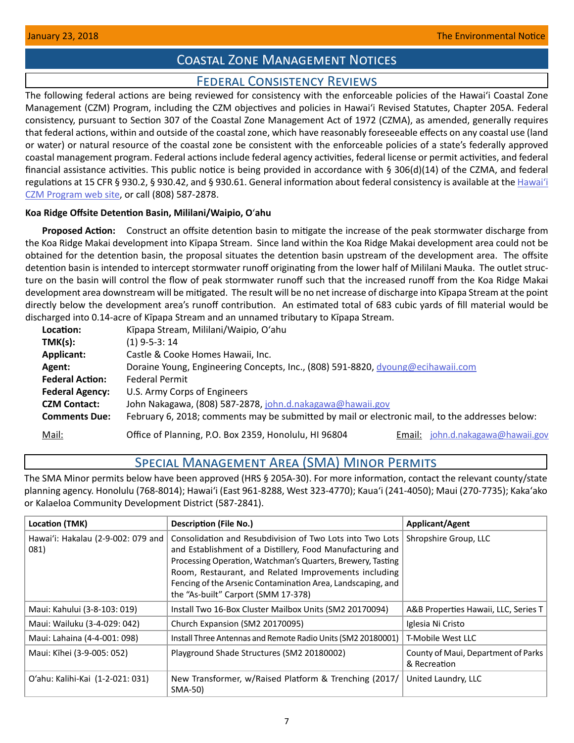# Coastal Zone Management Notices

# Federal Consistency Reviews

<span id="page-6-0"></span>The following federal actions are being reviewed for consistency with the enforceable policies of the Hawaiʻi Coastal Zone Management (CZM) Program, including the CZM objectives and policies in Hawaiʻi Revised Statutes, Chapter 205A. Federal consistency, pursuant to Section 307 of the Coastal Zone Management Act of 1972 (CZMA), as amended, generally requires that federal actions, within and outside of the coastal zone, which have reasonably foreseeable effects on any coastal use (land or water) or natural resource of the coastal zone be consistent with the enforceable policies of a state's federally approved coastal management program. Federal actions include federal agency activities, federal license or permit activities, and federal financial assistance activities. This public notice is being provided in accordance with § 306(d)(14) of the CZMA, and federal regulations at 15 CFR § 930.2, § 930.42, and § 930.61. General information about federal consistency is available at the [Hawai](http://planning.hawaii.gov/czm/federal-consistency/)ʻi [CZM Program web site,](http://planning.hawaii.gov/czm/federal-consistency/) or call (808) 587-2878.

## **Koa Ridge Offsite Detention Basin, Mililani/Waipio, O**ʻ**ahu**

**Proposed Action:** Construct an offsite detention basin to mitigate the increase of the peak stormwater discharge from the Koa Ridge Makai development into Kīpapa Stream. Since land within the Koa Ridge Makai development area could not be obtained for the detention basin, the proposal situates the detention basin upstream of the development area. The offsite detention basin is intended to intercept stormwater runoff originating from the lower half of Mililani Mauka. The outlet structure on the basin will control the flow of peak stormwater runoff such that the increased runoff from the Koa Ridge Makai development area downstream will be mitigated. The result will be no net increase of discharge into Kīpapa Stream at the point directly below the development area's runoff contribution. An estimated total of 683 cubic yards of fill material would be discharged into 0.14-acre of Kīpapa Stream and an unnamed tributary to Kīpapa Stream.

| Location:              | Kīpapa Stream, Mililani/Waipio, O'ahu                                                           |
|------------------------|-------------------------------------------------------------------------------------------------|
| TMK(s):                | $(1)$ 9-5-3: 14                                                                                 |
| Applicant:             | Castle & Cooke Homes Hawaii, Inc.                                                               |
| Agent:                 | Doraine Young, Engineering Concepts, Inc., (808) 591-8820, dyoung@ecihawaii.com                 |
| <b>Federal Action:</b> | <b>Federal Permit</b>                                                                           |
| <b>Federal Agency:</b> | U.S. Army Corps of Engineers                                                                    |
| <b>CZM Contact:</b>    | John Nakagawa, (808) 587-2878, john.d.nakagawa@hawaii.gov                                       |
| <b>Comments Due:</b>   | February 6, 2018; comments may be submitted by mail or electronic mail, to the addresses below: |
| Mail:                  | Office of Planning, P.O. Box 2359, Honolulu, HI 96804<br>john.d.nakagawa@hawaii.gov<br>Email:   |

# Special Management Area (SMA) Minor Permits

The SMA Minor permits below have been approved (HRS § 205A-30). For more information, contact the relevant county/state planning agency. Honolulu (768-8014); Hawaiʻi (East 961-8288, West 323-4770); Kauaʻi (241-4050); Maui (270-7735); Kakaʻako or Kalaeloa Community Development District (587-2841).

| Location (TMK)                             | <b>Description (File No.)</b>                                                                                                                                                                                                                                                                                                                       | Applicant/Agent                                     |
|--------------------------------------------|-----------------------------------------------------------------------------------------------------------------------------------------------------------------------------------------------------------------------------------------------------------------------------------------------------------------------------------------------------|-----------------------------------------------------|
| Hawai'i: Hakalau (2-9-002: 079 and<br>081) | Consolidation and Resubdivision of Two Lots into Two Lots<br>and Establishment of a Distillery, Food Manufacturing and<br>Processing Operation, Watchman's Quarters, Brewery, Tasting<br>Room, Restaurant, and Related Improvements including<br>Fencing of the Arsenic Contamination Area, Landscaping, and<br>the "As-built" Carport (SMM 17-378) | Shropshire Group, LLC                               |
| Maui: Kahului (3-8-103: 019)               | Install Two 16-Box Cluster Mailbox Units (SM2 20170094)                                                                                                                                                                                                                                                                                             | A&B Properties Hawaii, LLC, Series T                |
| Maui: Wailuku (3-4-029: 042)               | Church Expansion (SM2 20170095)                                                                                                                                                                                                                                                                                                                     | Iglesia Ni Cristo                                   |
| Maui: Lahaina (4-4-001: 098)               | Install Three Antennas and Remote Radio Units (SM2 20180001)                                                                                                                                                                                                                                                                                        | T-Mobile West LLC                                   |
| Maui: Kīhei (3-9-005: 052)                 | Playground Shade Structures (SM2 20180002)                                                                                                                                                                                                                                                                                                          | County of Maui, Department of Parks<br>& Recreation |
| O'ahu: Kalihi-Kai (1-2-021: 031)           | New Transformer, w/Raised Platform & Trenching (2017/<br>SMA-50)                                                                                                                                                                                                                                                                                    | United Laundry, LLC                                 |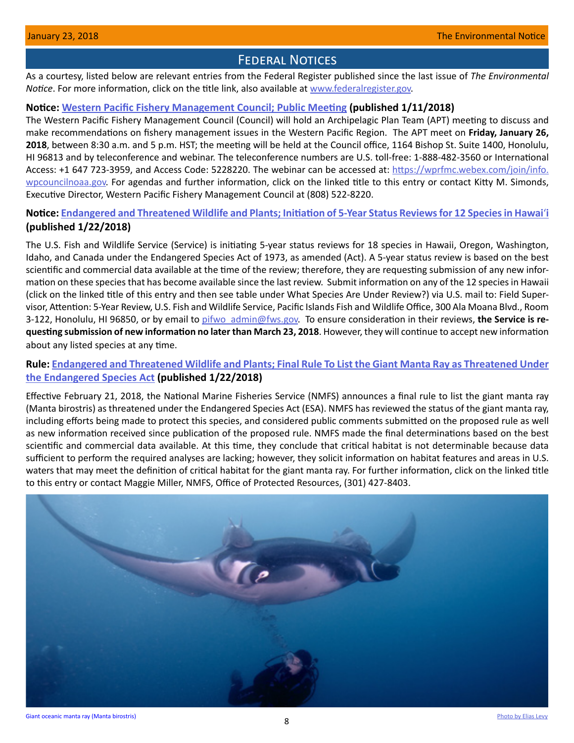## **FEDERAL NOTICES**

<span id="page-7-0"></span>As a courtesy, listed below are relevant entries from the Federal Register published since the last issue of *The Environmental Notice*. For more information, click on the title link, also available at [www.federalregister.gov](http://www.federalregister.gov).

## **Notice: [Western Pacific Fishery Management Council; Public Meeting](https://www.federalregister.gov/documents/2018/01/11/2018-00373/western-pacific-fishery-management-council-public-meeting) (published 1/11/2018)**

The Western Pacific Fishery Management Council (Council) will hold an Archipelagic Plan Team (APT) meeting to discuss and make recommendations on fishery management issues in the Western Pacific Region. The APT meet on **Friday, January 26, 2018**, between 8:30 a.m. and 5 p.m. HST; the meeting will be held at the Council office, 1164 Bishop St. Suite 1400, Honolulu, HI 96813 and by teleconference and webinar. The teleconference numbers are U.S. toll-free: 1-888-482-3560 or International Access: +1 647 723-3959, and Access Code: 5228220. The webinar can be accessed at: [https://wprfmc.webex.com/join/info.](https://wprfmc.webex.com/ join/ info.wpcouncilnoaa.gov) [wpcouncilnoaa.gov.](https://wprfmc.webex.com/ join/ info.wpcouncilnoaa.gov) For agendas and further information, click on the linked title to this entry or contact Kitty M. Simonds, Executive Director, Western Pacific Fishery Management Council at (808) 522-8220.

## **Notice: [Endangered and Threatened Wildlife and Plants; Initiation of 5-Year Status Reviews for 12 Species in Hawai](https://www.federalregister.gov/documents/2018/01/22/2018-00944/endangered-and-threatened-wildlife-and-plants-initiation-of-5-year-status-reviews-for-18-species-in)**ʻ**i (published 1/22/2018)**

The U.S. Fish and Wildlife Service (Service) is initiating 5-year status reviews for 18 species in Hawaii, Oregon, Washington, Idaho, and Canada under the Endangered Species Act of 1973, as amended (Act). A 5-year status review is based on the best scientific and commercial data available at the time of the review; therefore, they are requesting submission of any new information on these species that has become available since the last review. Submit information on any of the 12 species in Hawaii (click on the linked title of this entry and then see table under What Species Are Under Review?) via U.S. mail to: Field Supervisor, Attention: 5-Year Review, U.S. Fish and Wildlife Service, Pacific Islands Fish and Wildlife Office, 300 Ala Moana Blvd., Room 3-122, Honolulu, HI 96850, or by email to [pifwo\\_admin@fws.gov.](mailto:pifwo_admin%40fws.gov?subject=) To ensure consideration in their reviews, **the Service is requesting submission of new information no later than March 23, 2018**. However, they will continue to accept new information about any listed species at any time.

## **Rule: [Endangered and Threatened Wildlife and Plants; Final Rule To List the Giant Manta Ray as Threatened Under](https://www.federalregister.gov/documents/2018/01/22/2018-01031/endangered-and-threatened-wildlife-and-plants-final-rule-to-list-the-giant-manta-ray-as-threatened)  [the Endangered Species Act](https://www.federalregister.gov/documents/2018/01/22/2018-01031/endangered-and-threatened-wildlife-and-plants-final-rule-to-list-the-giant-manta-ray-as-threatened) (published 1/22/2018)**

Effective February 21, 2018, the National Marine Fisheries Service (NMFS) announces a final rule to list the giant manta ray (Manta birostris) as threatened under the Endangered Species Act (ESA). NMFS has reviewed the status of the giant manta ray, including efforts being made to protect this species, and considered public comments submitted on the proposed rule as well as new information received since publication of the proposed rule. NMFS made the final determinations based on the best scientific and commercial data available. At this time, they conclude that critical habitat is not determinable because data sufficient to perform the required analyses are lacking; however, they solicit information on habitat features and areas in U.S. waters that may meet the definition of critical habitat for the giant manta ray. For further information, click on the linked title to this entry or contact Maggie Miller, NMFS, Office of Protected Resources, (301) 427-8403.